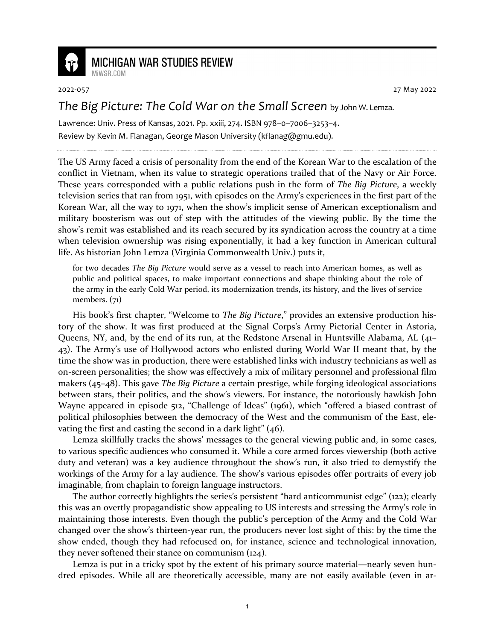

## **MICHIGAN WAR STUDIES REVIEW**

MiWSR COM

2022-057 27 May 2022

## *The Big Picture: The Cold War on the Small Screen* by John W. Lemza.

Lawrence: Univ. Press of Kansas, 2021. Pp. xxiii, 274. ISBN 978–0–7006–3253–4. Review by Kevin M. Flanagan, George Mason University (kflanag@gmu.edu).

The US Army faced a crisis of personality from the end of the Korean War to the escalation of the conflict in Vietnam, when its value to strategic operations trailed that of the Navy or Air Force. These years corresponded with a public relations push in the form of *The Big Picture*, a weekly television series that ran from 1951, with episodes on the Army's experiences in the first part of the Korean War, all the way to 1971, when the show's implicit sense of American exceptionalism and military boosterism was out of step with the attitudes of the viewing public. By the time the show's remit was established and its reach secured by its syndication across the country at a time when television ownership was rising exponentially, it had a key function in American cultural life. As historian John Lemza (Virginia Commonwealth Univ.) puts it,

for two decades *The Big Picture* would serve as a vessel to reach into American homes, as well as public and political spaces, to make important connections and shape thinking about the role of the army in the early Cold War period, its modernization trends, its history, and the lives of service members. (71)

His book's first chapter, "Welcome to *The Big Picture*," provides an extensive production history of the show. It was first produced at the Signal Corps's Army Pictorial Center in Astoria, Queens, NY, and, by the end of its run, at the Redstone Arsenal in Huntsville Alabama, AL (41– 43). The Army's use of Hollywood actors who enlisted during World War II meant that, by the time the show was in production, there were established links with industry technicians as well as on-screen personalities; the show was effectively a mix of military personnel and professional film makers (45–48). This gave *The Big Picture* a certain prestige, while forging ideological associations between stars, their politics, and the show's viewers. For instance, the notoriously hawkish John Wayne appeared in episode 512, "Challenge of Ideas" (1961), which "offered a biased contrast of political philosophies between the democracy of the West and the communism of the East, elevating the first and casting the second in a dark light" (46).

Lemza skillfully tracks the shows' messages to the general viewing public and, in some cases, to various specific audiences who consumed it. While a core armed forces viewership (both active duty and veteran) was a key audience throughout the show's run, it also tried to demystify the workings of the Army for a lay audience. The show's various episodes offer portraits of every job imaginable, from chaplain to foreign language instructors.

The author correctly highlights the series's persistent "hard anticommunist edge" (122); clearly this was an overtly propagandistic show appealing to US interests and stressing the Army's role in maintaining those interests. Even though the public's perception of the Army and the Cold War changed over the show's thirteen-year run, the producers never lost sight of this: by the time the show ended, though they had refocused on, for instance, science and technological innovation, they never softened their stance on communism (124).

Lemza is put in a tricky spot by the extent of his primary source material—nearly seven hundred episodes. While all are theoretically accessible, many are not easily available (even in ar